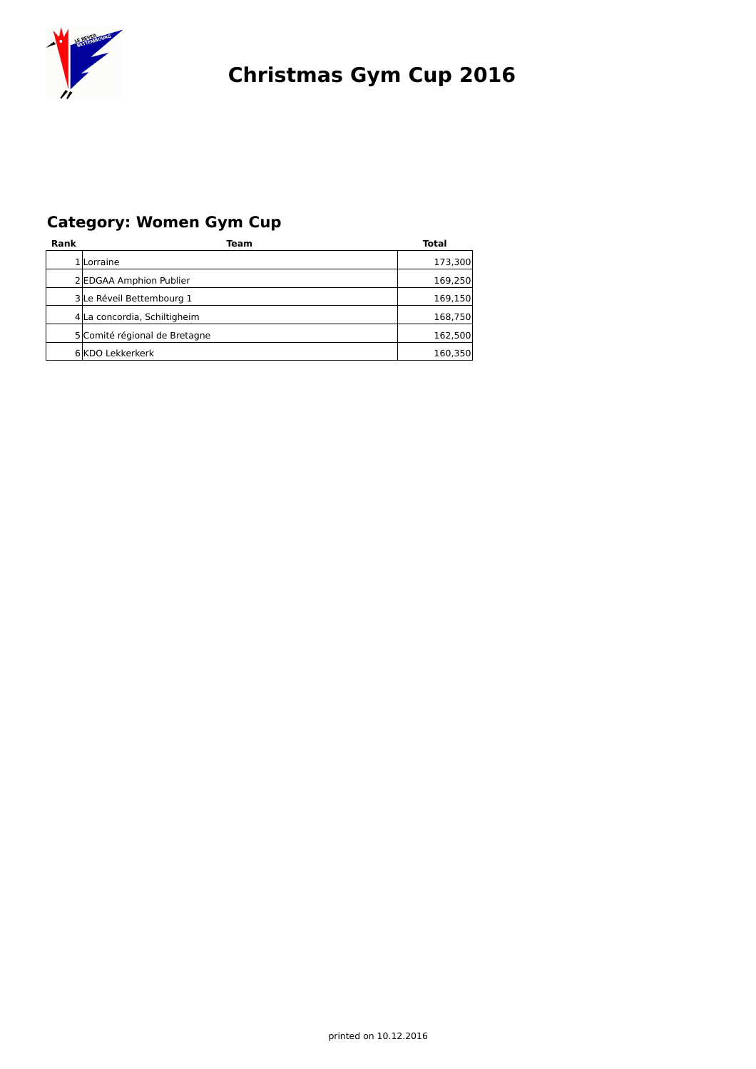

### **Category: Women Gym Cup**

| Rank | Team                          | Total   |
|------|-------------------------------|---------|
|      | 1 Lorraine                    | 173,300 |
|      | 2 EDGAA Amphion Publier       | 169,250 |
|      | 3 Le Réveil Bettembourg 1     | 169,150 |
|      | 4 La concordia, Schiltigheim  | 168,750 |
|      | 5 Comité régional de Bretagne | 162,500 |
|      | 6 KDO Lekkerkerk              | 160,350 |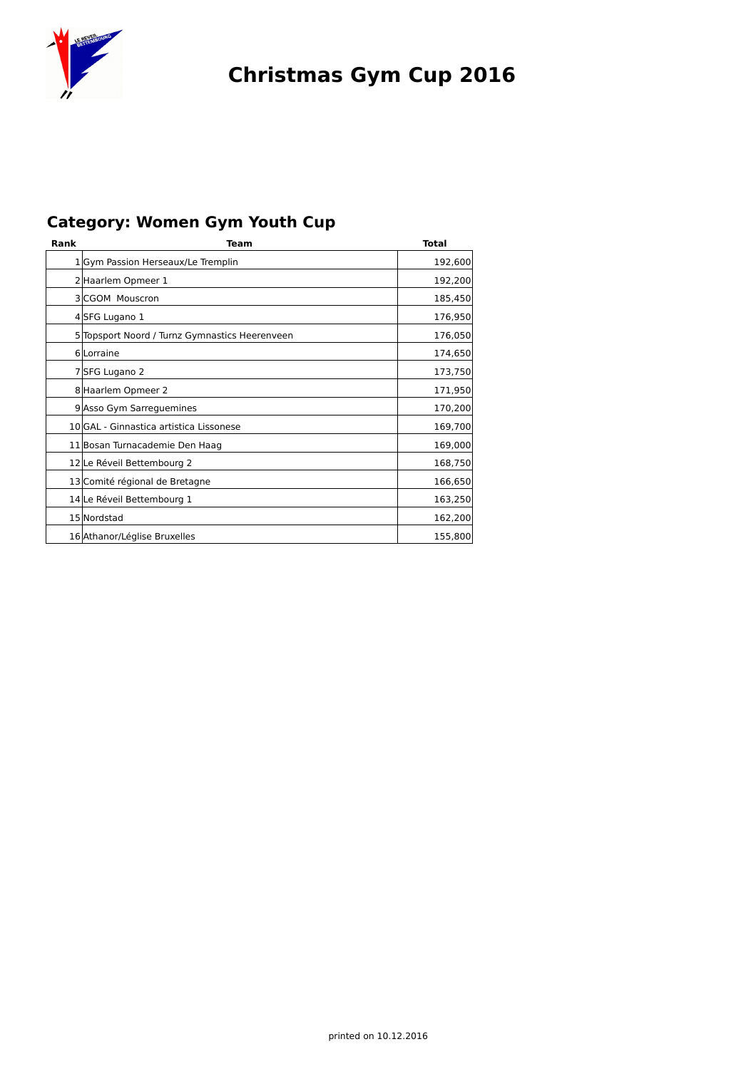

### **Category: Women Gym Youth Cup**

| Rank | Team                                           | Total   |  |  |  |  |
|------|------------------------------------------------|---------|--|--|--|--|
|      | 1 Gym Passion Herseaux/Le Tremplin             | 192,600 |  |  |  |  |
|      | 2 Haarlem Opmeer 1                             |         |  |  |  |  |
|      | 3 CGOM Mouscron                                | 185,450 |  |  |  |  |
|      | 4 SFG Lugano 1                                 | 176,950 |  |  |  |  |
|      | 5 Topsport Noord / Turnz Gymnastics Heerenveen | 176,050 |  |  |  |  |
|      | 6 Lorraine                                     | 174,650 |  |  |  |  |
|      | 7 SFG Lugano 2                                 | 173,750 |  |  |  |  |
|      | 8 Haarlem Opmeer 2                             | 171,950 |  |  |  |  |
|      | 9 Asso Gym Sarreguemines                       | 170,200 |  |  |  |  |
|      | 10 GAL - Ginnastica artistica Lissonese        | 169,700 |  |  |  |  |
|      | 11 Bosan Turnacademie Den Haag                 | 169,000 |  |  |  |  |
|      | 12 Le Réveil Bettembourg 2                     | 168,750 |  |  |  |  |
|      | 13 Comité régional de Bretagne                 | 166,650 |  |  |  |  |
|      | 14 Le Réveil Bettembourg 1                     | 163,250 |  |  |  |  |
|      | 15 Nordstad                                    | 162,200 |  |  |  |  |
|      | 16 Athanor/Léglise Bruxelles                   | 155,800 |  |  |  |  |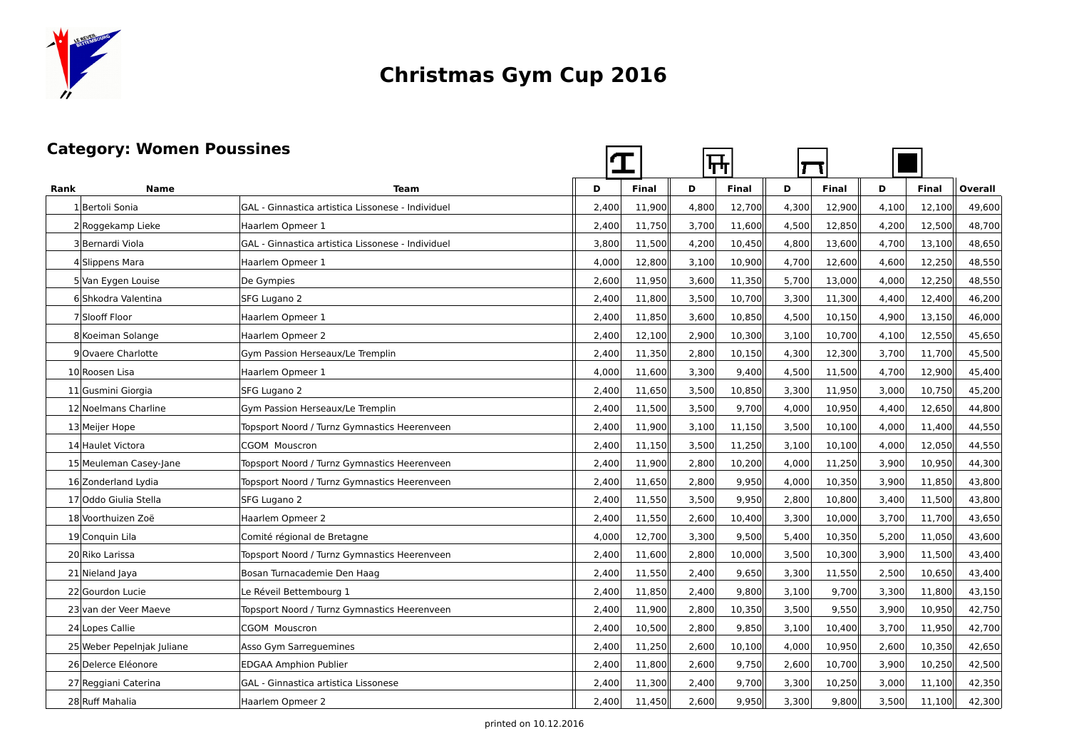

#### **Category: Women Poussines**

| <b>Category: Women Poussines</b> |                            |                                                   |       |              | <del>Щ</del> |              |       |              |       |              |         |
|----------------------------------|----------------------------|---------------------------------------------------|-------|--------------|--------------|--------------|-------|--------------|-------|--------------|---------|
| Rank                             | <b>Name</b>                | Team                                              | D     | <b>Final</b> | D            | <b>Final</b> | D     | <b>Final</b> | D     | <b>Final</b> | Overall |
|                                  | 1 Bertoli Sonia            | GAL - Ginnastica artistica Lissonese - Individuel | 2.400 | 11.900       | 4.800        | 12,700       | 4,300 | 12,900       | 4.100 | 12.100       | 49,600  |
|                                  | 2 Roggekamp Lieke          | Haarlem Opmeer 1                                  | 2,400 | 11,750       | 3,700        | 11,600       | 4,500 | 12,850       | 4,200 | 12,500       | 48,700  |
|                                  | 3 Bernardi Viola           | GAL - Ginnastica artistica Lissonese - Individuel | 3,800 | 11,500       | 4,200        | 10,450       | 4,800 | 13,600       | 4,700 | 13,100       | 48,650  |
|                                  | 4 Slippens Mara            | Haarlem Opmeer 1                                  | 4,000 | 12,800       | 3,100        | 10,900       | 4,700 | 12,600       | 4,600 | 12,250       | 48,550  |
|                                  | 5 Van Eygen Louise         | De Gympies                                        | 2,600 | 11,950       | 3,600        | 11,350       | 5,700 | 13,000       | 4,000 | 12,250       | 48,550  |
|                                  | 6 Shkodra Valentina        | SFG Lugano 2                                      | 2,400 | 11,800       | 3,500        | 10,700       | 3,300 | 11,300       | 4,400 | 12,400       | 46,200  |
|                                  | 7 Slooff Floor             | Haarlem Opmeer 1                                  | 2,400 | 11,850       | 3,600        | 10,850       | 4,500 | 10,150       | 4,900 | 13,150       | 46,000  |
|                                  | 8 Koeiman Solange          | Haarlem Opmeer 2                                  | 2,400 | 12,100       | 2,900        | 10,300       | 3,100 | 10,700       | 4,100 | 12,550       | 45,650  |
|                                  | 9 Ovaere Charlotte         | Gym Passion Herseaux/Le Tremplin                  | 2,400 | 11,350       | 2,800        | 10,150       | 4,300 | 12,300       | 3,700 | 11,700       | 45,500  |
|                                  | 10 Roosen Lisa             | Haarlem Opmeer 1                                  | 4,000 | 11,600       | 3,300        | 9,400        | 4,500 | 11,500       | 4,700 | 12,900       | 45,400  |
|                                  | 11 Gusmini Giorgia         | SFG Lugano 2                                      | 2,400 | 11,650       | 3,500        | 10,850       | 3,300 | 11,950       | 3.000 | 10.750       | 45,200  |
|                                  | 12 Noelmans Charline       | Gym Passion Herseaux/Le Tremplin                  | 2,400 | 11,500       | 3,500        | 9,700        | 4,000 | 10,950       | 4,400 | 12,650       | 44,800  |
|                                  | 13 Meijer Hope             | Topsport Noord / Turnz Gymnastics Heerenveen      | 2,400 | 11,900       | 3,100        | 11,150       | 3,500 | 10,100       | 4,000 | 11,400       | 44,550  |
|                                  | 14 Haulet Victora          | CGOM Mouscron                                     | 2,400 | 11,150       | 3,500        | 11,250       | 3,100 | 10,100       | 4,000 | 12,050       | 44,550  |
|                                  | 15 Meuleman Casey-Jane     | Topsport Noord / Turnz Gymnastics Heerenveen      | 2,400 | 11,900       | 2,800        | 10,200       | 4,000 | 11,250       | 3,900 | 10,950       | 44,300  |
|                                  | 16 Zonderland Lydia        | Topsport Noord / Turnz Gymnastics Heerenveen      | 2,400 | 11,650       | 2,800        | 9,950        | 4,000 | 10,350       | 3,900 | 11,850       | 43,800  |
|                                  | 17 Oddo Giulia Stella      | SFG Lugano 2                                      | 2,400 | 11,550       | 3,500        | 9,950        | 2,800 | 10,800       | 3,400 | 11,500       | 43,800  |
|                                  | 18 Voorthuizen Zoë         | Haarlem Opmeer 2                                  | 2,400 | 11,550       | 2,600        | 10,400       | 3,300 | 10,000       | 3,700 | 11,700       | 43,650  |
|                                  | 19 Conquin Lila            | Comité régional de Bretagne                       | 4,000 | 12,700       | 3,300        | 9,500        | 5,400 | 10,350       | 5,200 | 11,050       | 43,600  |
|                                  | 20 Riko Larissa            | Topsport Noord / Turnz Gymnastics Heerenveen      | 2,400 | 11,600       | 2,800        | 10,000       | 3,500 | 10,300       | 3,900 | 11,500       | 43,400  |
|                                  | 21 Nieland Jaya            | Bosan Turnacademie Den Haag                       | 2,400 | 11,550       | 2,400        | 9,650        | 3,300 | 11,550       | 2,500 | 10,650       | 43,400  |
|                                  | 22 Gourdon Lucie           | Le Réveil Bettembourg 1                           | 2,400 | 11,850       | 2,400        | 9,800        | 3,100 | 9,700        | 3,300 | 11,800       | 43,150  |
|                                  | 23 van der Veer Maeve      | Topsport Noord / Turnz Gymnastics Heerenveen      | 2,400 | 11,900       | 2,800        | 10,350       | 3,500 | 9,550        | 3,900 | 10,950       | 42,750  |
|                                  | 24 Lopes Callie            | <b>CGOM Mouscron</b>                              | 2,400 | 10,500       | 2,800        | 9,850        | 3,100 | 10,400       | 3,700 | 11,950       | 42,700  |
|                                  | 25 Weber Pepelniak Juliane | Asso Gym Sarreguemines                            | 2,400 | 11,250       | 2,600        | 10,100       | 4,000 | 10,950       | 2,600 | 10,350       | 42,650  |
|                                  | 26 Delerce Eléonore        | <b>EDGAA Amphion Publier</b>                      | 2,400 | 11,800       | 2.600        | 9,750        | 2,600 | 10,700       | 3,900 | 10,250       | 42,500  |
|                                  | 27 Reggiani Caterina       | GAL - Ginnastica artistica Lissonese              | 2,400 | 11,300       | 2,400        | 9,700        | 3,300 | 10,250       | 3,000 | 11,100       | 42,350  |
|                                  | 28 Ruff Mahalia            | Haarlem Opmeer 2                                  | 2,400 | 11,450       | 2,600        | 9,950        | 3,300 | 9,800        | 3,500 | 11,100       | 42,300  |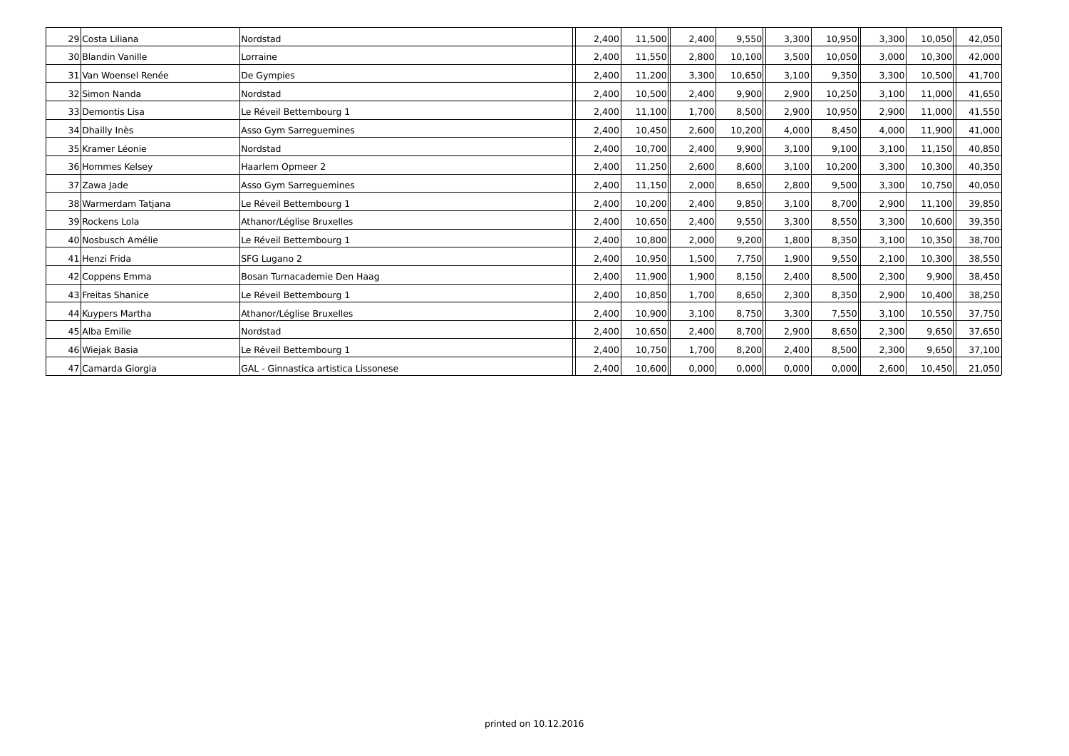| 29 Costa Liliana     | Nordstad                                    | 2,400 | 11,500 | 2,400 | 9,550  | 3,300 | 10,950 | 3,300 | 10,050 | 42,050 |
|----------------------|---------------------------------------------|-------|--------|-------|--------|-------|--------|-------|--------|--------|
| 30 Blandin Vanille   | Lorraine                                    | 2,400 | 11,550 | 2,800 | 10,100 | 3,500 | 10,050 | 3,000 | 10,300 | 42,000 |
| 31 Van Woensel Renée | De Gympies                                  | 2,400 | 11,200 | 3,300 | 10,650 | 3,100 | 9,350  | 3,300 | 10,500 | 41,700 |
| 32 Simon Nanda       | Nordstad                                    | 2,400 | 10,500 | 2,400 | 9,900  | 2,900 | 10,250 | 3,100 | 11,000 | 41,650 |
| 33 Demontis Lisa     | Le Réveil Bettembourg 1                     | 2,400 | 11,100 | 1,700 | 8,500  | 2,900 | 10,950 | 2,900 | 11,000 | 41,550 |
| 34 Dhailly Ines      | Asso Gym Sarreguemines                      | 2,400 | 10,450 | 2,600 | 10,200 | 4,000 | 8,450  | 4,000 | 11,900 | 41,000 |
| 35 Kramer Léonie     | Nordstad                                    | 2,400 | 10,700 | 2,400 | 9,900  | 3,100 | 9,100  | 3,100 | 11,150 | 40,850 |
| 36 Hommes Kelsey     | Haarlem Opmeer 2                            | 2,400 | 11,250 | 2,600 | 8,600  | 3,100 | 10,200 | 3,300 | 10,300 | 40,350 |
| 37 Zawa Jade         | Asso Gym Sarreguemines                      | 2,400 | 11,150 | 2,000 | 8,650  | 2,800 | 9,500  | 3,300 | 10,750 | 40,050 |
| 38 Warmerdam Tatjana | Le Réveil Bettembourg 1                     | 2,400 | 10,200 | 2,400 | 9,850  | 3,100 | 8,700  | 2,900 | 11,100 | 39,850 |
| 39 Rockens Lola      | Athanor/Léglise Bruxelles                   | 2,400 | 10,650 | 2,400 | 9,550  | 3,300 | 8,550  | 3,300 | 10,600 | 39,350 |
| 40 Nosbusch Amélie   | Le Réveil Bettembourg 1                     | 2,400 | 10,800 | 2,000 | 9,200  | 1,800 | 8,350  | 3,100 | 10,350 | 38,700 |
| 41 Henzi Frida       | SFG Lugano 2                                | 2,400 | 10,950 | 1,500 | 7,750  | 1,900 | 9,550  | 2,100 | 10,300 | 38,550 |
| 42 Coppens Emma      | Bosan Turnacademie Den Haag                 | 2,400 | 11,900 | 1,900 | 8,150  | 2,400 | 8,500  | 2,300 | 9,900  | 38,450 |
| 43 Freitas Shanice   | Le Réveil Bettembourg 1                     | 2.400 | 10,850 | 1,700 | 8,650  | 2,300 | 8,350  | 2,900 | 10,400 | 38,250 |
| 44 Kuypers Martha    | Athanor/Léglise Bruxelles                   | 2,400 | 10,900 | 3,100 | 8,750  | 3,300 | 7.550  | 3.100 | 10,550 | 37,750 |
| 45 Alba Emilie       | Nordstad                                    | 2,400 | 10,650 | 2,400 | 8,700  | 2,900 | 8,650  | 2,300 | 9,650  | 37,650 |
| 46 Wiejak Basia      | Le Réveil Bettembourg 1                     | 2,400 | 10,750 | 1,700 | 8,200  | 2,400 | 8,500  | 2,300 | 9,650  | 37,100 |
| 47 Camarda Giorgia   | <b>GAL</b> - Ginnastica artistica Lissonese | 2,400 | 10,600 | 0,000 | 0,000  | 0,000 | 0,000  | 2,600 | 10,450 | 21,050 |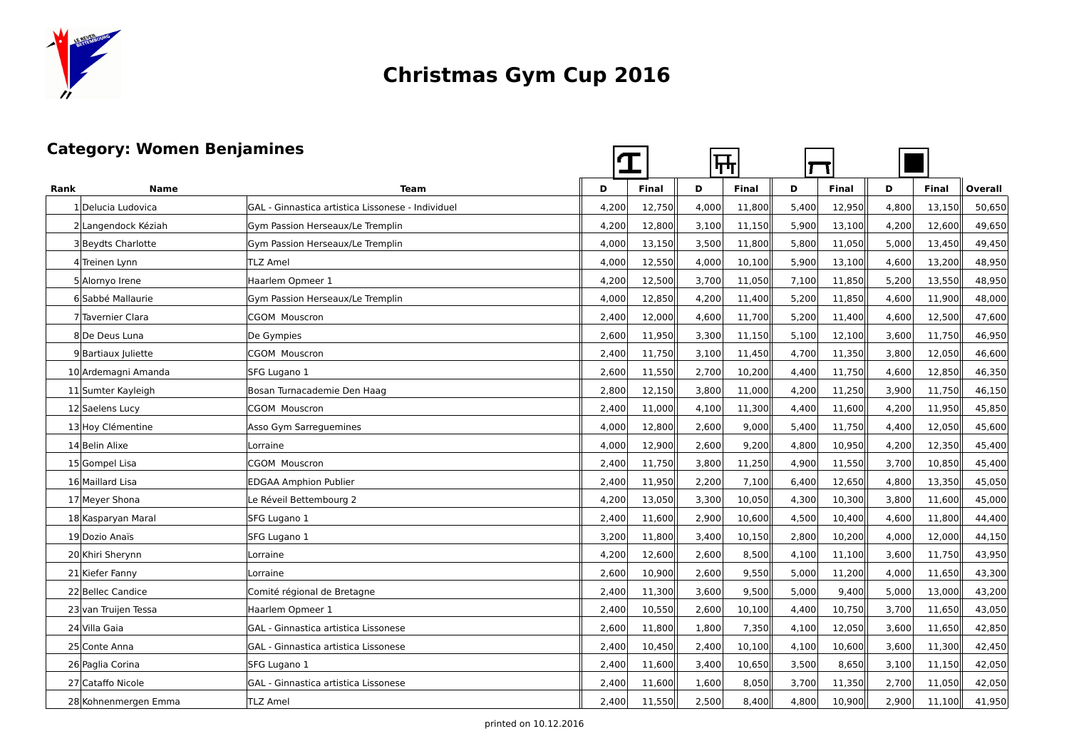

#### **Category: Women Benjamines**

| <b>Category: Women Benjamines</b> |                      |                                                   |       |              | ┡┯    |        |       |              |       |              |         |
|-----------------------------------|----------------------|---------------------------------------------------|-------|--------------|-------|--------|-------|--------------|-------|--------------|---------|
| Rank                              | <b>Name</b>          | <b>Team</b>                                       | D     | <b>Final</b> | D     | Final  | D     | <b>Final</b> | D     | <b>Final</b> | Overall |
|                                   | 1 Delucia Ludovica   | GAL - Ginnastica artistica Lissonese - Individuel | 4,200 | 12,750       | 4,000 | 11,800 | 5,400 | 12,950       | 4,800 | 13,150       | 50,650  |
|                                   | 2 Langendock Kéziah  | Gym Passion Herseaux/Le Tremplin                  | 4,200 | 12,800       | 3,100 | 11,150 | 5.900 | 13,100       | 4,200 | 12,600       | 49,650  |
|                                   | 3 Beydts Charlotte   | Gym Passion Herseaux/Le Tremplin                  | 4,000 | 13,150       | 3,500 | 11,800 | 5,800 | 11,050       | 5,000 | 13,450       | 49,450  |
|                                   | 4 Treinen Lynn       | <b>TLZ Amel</b>                                   | 4,000 | 12,550       | 4,000 | 10,100 | 5,900 | 13,100       | 4,600 | 13,200       | 48,950  |
|                                   | 5 Alornyo Irene      | Haarlem Opmeer 1                                  | 4,200 | 12,500       | 3,700 | 11,050 | 7,100 | 11,850       | 5,200 | 13,550       | 48,950  |
|                                   | 6 Sabbé Mallaurie    | Gym Passion Herseaux/Le Tremplin                  | 4,000 | 12,850       | 4,200 | 11,400 | 5,200 | 11,850       | 4,600 | 11,900       | 48,000  |
|                                   | 7 Tavernier Clara    | <b>CGOM Mouscron</b>                              | 2,400 | 12,000       | 4,600 | 11,700 | 5,200 | 11,400       | 4,600 | 12,500       | 47,600  |
|                                   | 8 De Deus Luna       | De Gympies                                        | 2,600 | 11,950       | 3,300 | 11,150 | 5,100 | 12,100       | 3,600 | 11,750       | 46,950  |
|                                   | 9 Bartiaux Juliette  | <b>CGOM Mouscron</b>                              | 2,400 | 11,750       | 3,100 | 11,450 | 4,700 | 11,350       | 3,800 | 12,050       | 46,600  |
|                                   | 10 Ardemagni Amanda  | SFG Lugano 1                                      | 2,600 | 11,550       | 2,700 | 10,200 | 4,400 | 11,750       | 4,600 | 12,850       | 46,350  |
|                                   | 11 Sumter Kayleigh   | Bosan Turnacademie Den Haag                       | 2,800 | 12,150       | 3,800 | 11,000 | 4,200 | 11,250       | 3,900 | 11,750       | 46,150  |
|                                   | 12 Saelens Lucy      | <b>CGOM Mouscron</b>                              | 2,400 | 11,000       | 4,100 | 11,300 | 4,400 | 11,600       | 4,200 | 11,950       | 45,850  |
|                                   | 13 Hoy Clémentine    | Asso Gym Sarreguemines                            | 4,000 | 12,800       | 2,600 | 9,000  | 5,400 | 11,750       | 4,400 | 12,050       | 45,600  |
|                                   | 14 Belin Alixe       | Lorraine                                          | 4,000 | 12,900       | 2,600 | 9,200  | 4,800 | 10,950       | 4,200 | 12,350       | 45,400  |
|                                   | 15 Gompel Lisa       | <b>CGOM Mouscron</b>                              | 2,400 | 11,750       | 3,800 | 11,250 | 4,900 | 11,550       | 3,700 | 10,850       | 45,400  |
|                                   | 16 Maillard Lisa     | <b>EDGAA Amphion Publier</b>                      | 2,400 | 11,950       | 2,200 | 7,100  | 6,400 | 12,650       | 4,800 | 13,350       | 45,050  |
|                                   | 17 Meyer Shona       | Le Réveil Bettembourg 2                           | 4,200 | 13,050       | 3,300 | 10,050 | 4,300 | 10,300       | 3,800 | 11,600       | 45,000  |
|                                   | 18 Kasparyan Maral   | SFG Lugano 1                                      | 2,400 | 11,600       | 2,900 | 10,600 | 4,500 | 10,400       | 4,600 | 11,800       | 44,400  |
|                                   | 19 Dozio Anaïs       | SFG Lugano 1                                      | 3,200 | 11,800       | 3,400 | 10,150 | 2,800 | 10,200       | 4,000 | 12,000       | 44,150  |
|                                   | 20 Khiri Sherynn     | Lorraine                                          | 4,200 | 12,600       | 2,600 | 8,500  | 4,100 | 11,100       | 3,600 | 11,750       | 43,950  |
|                                   | 21 Kiefer Fanny      | Lorraine                                          | 2,600 | 10,900       | 2,600 | 9,550  | 5,000 | 11,200       | 4,000 | 11,650       | 43,300  |
|                                   | 22 Bellec Candice    | Comité régional de Bretagne                       | 2,400 | 11,300       | 3,600 | 9,500  | 5,000 | 9,400        | 5,000 | 13,000       | 43,200  |
|                                   | 23 van Truijen Tessa | Haarlem Opmeer 1                                  | 2,400 | 10,550       | 2,600 | 10,100 | 4,400 | 10,750       | 3,700 | 11,650       | 43,050  |
|                                   | 24 Villa Gaia        | GAL - Ginnastica artistica Lissonese              | 2,600 | 11,800       | 1,800 | 7,350  | 4,100 | 12,050       | 3,600 | 11,650       | 42,850  |
|                                   | 25 Conte Anna        | GAL - Ginnastica artistica Lissonese              | 2,400 | 10,450       | 2,400 | 10,100 | 4,100 | 10,600       | 3,600 | 11,300       | 42,450  |
|                                   | 26 Paglia Corina     | SFG Lugano 1                                      | 2,400 | 11,600       | 3,400 | 10,650 | 3,500 | 8,650        | 3,100 | 11,150       | 42,050  |
|                                   | 27 Cataffo Nicole    | GAL - Ginnastica artistica Lissonese              | 2,400 | 11,600       | 1,600 | 8,050  | 3,700 | 11,350       | 2,700 | 11,050       | 42,050  |
|                                   | 28 Kohnenmergen Emma | <b>TLZ Amel</b>                                   | 2,400 | 11,550       | 2,500 | 8,400  | 4,800 | 10,900       | 2,900 | 11,100       | 41,950  |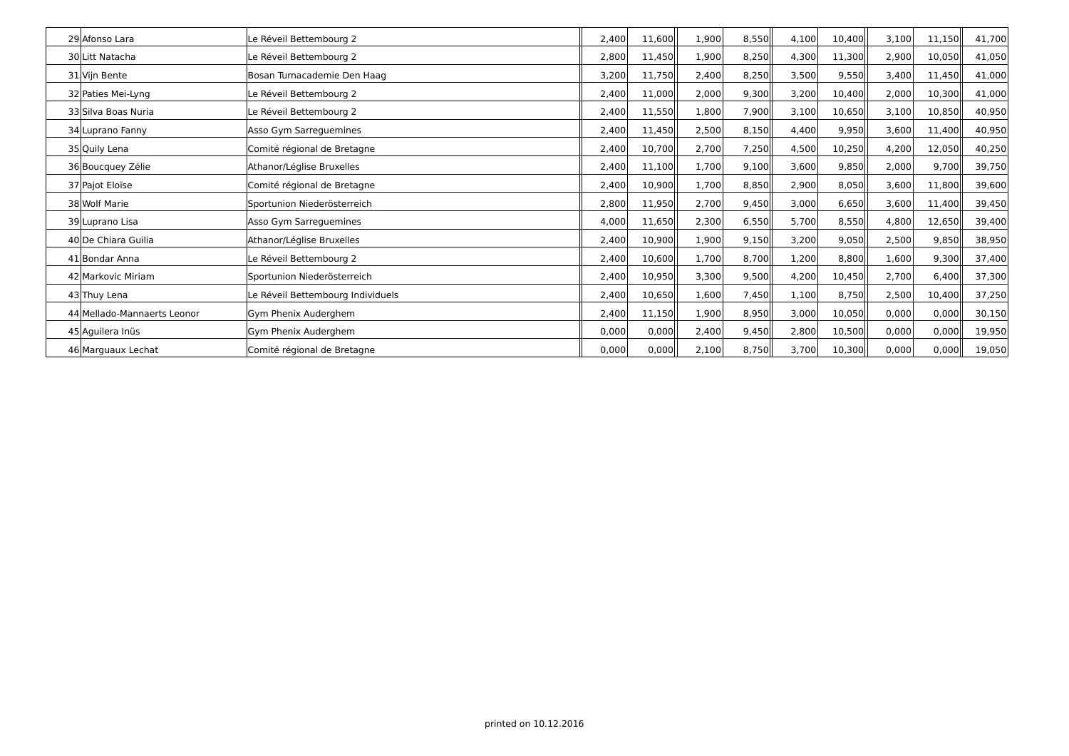| 29 Afonso Lara              | Le Réveil Bettembourg 2           | 2,400 | 11,600 | 1,900 | 8,550 | 4,100 | 10,400 | 3,100 | 11,150 | 41,700 |
|-----------------------------|-----------------------------------|-------|--------|-------|-------|-------|--------|-------|--------|--------|
| 30 Litt Natacha             | Le Réveil Bettembourg 2           |       | 11,450 | 1,900 | 8,250 | 4,300 | 11,300 | 2,900 | 10,050 | 41,050 |
| 31 Vijn Bente               | Bosan Turnacademie Den Haag       | 3,200 | 11,750 | 2,400 | 8,250 | 3,500 | 9,550  | 3,400 | 11,450 | 41,000 |
| 32 Paties Mei-Lyng          | Le Réveil Bettembourg 2           | 2,400 | 11,000 | 2,000 | 9,300 | 3,200 | 10,400 | 2,000 | 10,300 | 41,000 |
| 33 Silva Boas Nuria         | Le Réveil Bettembourg 2           | 2,400 | 11,550 | 1,800 | 7,900 | 3,100 | 10,650 | 3,100 | 10,850 | 40,950 |
| 34 Luprano Fanny            | Asso Gym Sarreguemines            | 2,400 | 11,450 | 2,500 | 8,150 | 4,400 | 9,950  | 3,600 | 11,400 | 40,950 |
| 35 Quily Lena               | Comité régional de Bretagne       | 2,400 | 10,700 | 2,700 | 7,250 | 4,500 | 10,250 | 4,200 | 12,050 | 40,250 |
| 36 Boucquey Zélie           | Athanor/Léglise Bruxelles         | 2,400 | 11,100 | 1,700 | 9,100 | 3,600 | 9,850  | 2,000 | 9,700  | 39,750 |
| 37 Pajot Eloïse             | Comité régional de Bretagne       | 2,400 | 10,900 | 1,700 | 8,850 | 2,900 | 8,050  | 3,600 | 11,800 | 39,600 |
| 38 Wolf Marie               | Sportunion Niederösterreich       | 2,800 | 11,950 | 2,700 | 9,450 | 3,000 | 6,650  | 3,600 | 11,400 | 39,450 |
| 39 Luprano Lisa             | Asso Gym Sarreguemines            | 4,000 | 11,650 | 2,300 | 6,550 | 5,700 | 8,550  | 4,800 | 12,650 | 39,400 |
| 40 De Chiara Guilia         | Athanor/Léglise Bruxelles         | 2,400 | 10,900 | 1,900 | 9,150 | 3,200 | 9,050  | 2,500 | 9,850  | 38,950 |
| 41 Bondar Anna              | Le Réveil Bettembourg 2           | 2,400 | 10,600 | 1,700 | 8,700 | 1,200 | 8,800  | 1,600 | 9,300  | 37,400 |
| 42 Markovic Miriam          | Sportunion Niederösterreich       | 2,400 | 10,950 | 3,300 | 9,500 | 4,200 | 10,450 | 2,700 | 6,400  | 37,300 |
| 43 Thuy Lena                | Le Réveil Bettembourg Individuels | 2,400 | 10,650 | 1,600 | 7,450 | 1,100 | 8,750  | 2,500 | 10,400 | 37,250 |
| 44 Mellado-Mannaerts Leonor | Gym Phenix Auderghem              | 2,400 | 11,150 | 1,900 | 8,950 | 3,000 | 10,050 | 0,000 | 0,000  | 30,150 |
| 45 Aguilera Inüs            | Gym Phenix Auderghem              | 0,000 | 0,000  | 2,400 | 9,450 | 2,800 | 10,500 | 0,000 | 0,000  | 19,950 |
| 46 Marguaux Lechat          | Comité régional de Bretagne       | 0,000 | 0,000  | 2,100 | 8,750 | 3,700 | 10,300 | 0,000 | 0,000  | 19,050 |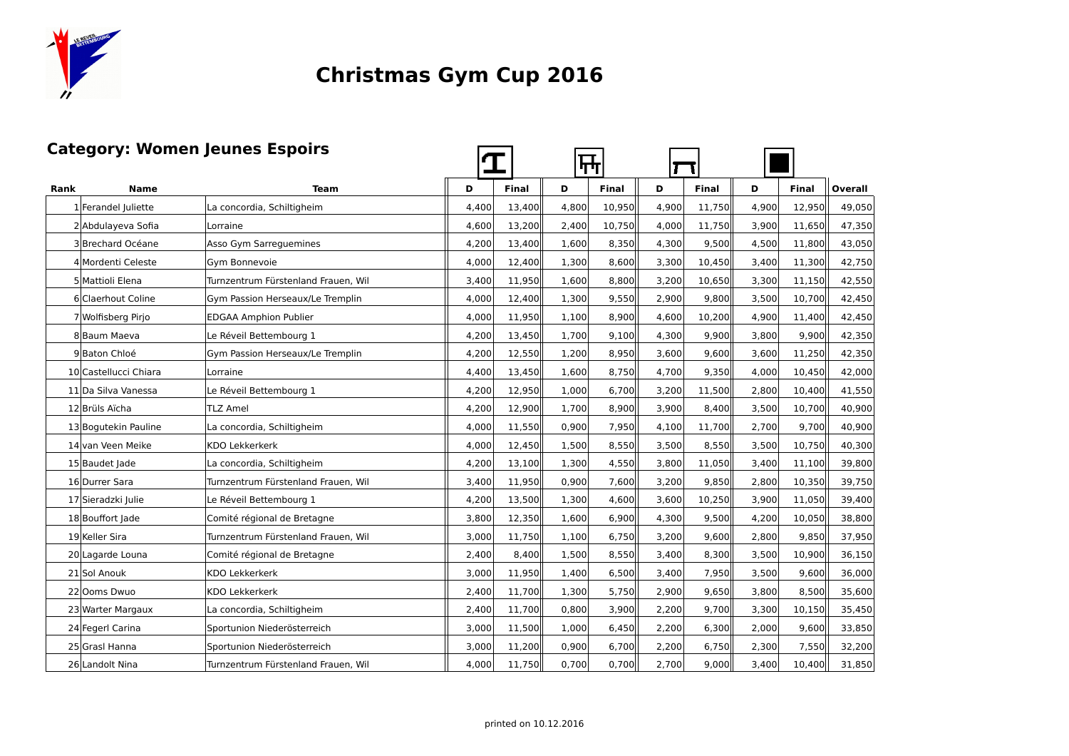

**The Contract of the Contract of the Contract of the Contract of the Contract of the Contract of the Contract o** 

#### **Category: Women Jeunes Espoirs**

| Category: Women Jeunes Espoirs |                       |                                     |       |        | ┡┯┿   |        |       |        |       |        |         |
|--------------------------------|-----------------------|-------------------------------------|-------|--------|-------|--------|-------|--------|-------|--------|---------|
| Rank                           | Name                  | <b>Team</b>                         | D     | Final  | D     | Final  | D     | Final  | D     | Final  | Overall |
|                                | 1 Ferandel Juliette   | La concordia, Schiltigheim          | 4,400 | 13,400 | 4,800 | 10,950 | 4,900 | 11,750 | 4,900 | 12,950 | 49,050  |
|                                | 2 Abdulayeva Sofia    | Lorraine                            | 4,600 | 13,200 | 2,400 | 10,750 | 4,000 | 11,750 | 3,900 | 11,650 | 47,350  |
|                                | 3 Brechard Océane     | Asso Gym Sarreguemines              | 4,200 | 13,400 | 1,600 | 8,350  | 4,300 | 9,500  | 4,500 | 11,800 | 43,050  |
|                                | 4 Mordenti Celeste    | Gym Bonnevoie                       | 4,000 | 12,400 | 1,300 | 8,600  | 3,300 | 10,450 | 3,400 | 11,300 | 42,750  |
|                                | 5 Mattioli Elena      | Turnzentrum Fürstenland Frauen, Wil | 3,400 | 11,950 | 1,600 | 8,800  | 3,200 | 10,650 | 3,300 | 11,150 | 42,550  |
|                                | 6 Claerhout Coline    | Gym Passion Herseaux/Le Tremplin    | 4,000 | 12,400 | 1,300 | 9,550  | 2,900 | 9,800  | 3,500 | 10,700 | 42,450  |
|                                | 7 Wolfisberg Pirjo    | <b>EDGAA Amphion Publier</b>        | 4,000 | 11,950 | 1,100 | 8,900  | 4,600 | 10,200 | 4,900 | 11,400 | 42,450  |
|                                | 8 Baum Maeva          | Le Réveil Bettembourg 1             | 4,200 | 13,450 | 1,700 | 9,100  | 4,300 | 9,900  | 3,800 | 9,900  | 42,350  |
|                                | 9 Baton Chloé         | Gym Passion Herseaux/Le Tremplin    | 4,200 | 12,550 | 1,200 | 8,950  | 3,600 | 9,600  | 3,600 | 11,250 | 42,350  |
|                                | 10 Castellucci Chiara | Lorraine                            | 4,400 | 13,450 | 1,600 | 8,750  | 4,700 | 9,350  | 4,000 | 10,450 | 42,000  |
|                                | 11 Da Silva Vanessa   | Le Réveil Bettembourg 1             | 4,200 | 12,950 | 1,000 | 6,700  | 3,200 | 11,500 | 2,800 | 10,400 | 41,550  |
|                                | 12 Brüls Aïcha        | <b>TLZ Amel</b>                     | 4,200 | 12,900 | 1,700 | 8,900  | 3,900 | 8,400  | 3,500 | 10,700 | 40,900  |
|                                | 13 Bogutekin Pauline  | La concordia, Schiltigheim          | 4,000 | 11,550 | 0,900 | 7,950  | 4,100 | 11,700 | 2,700 | 9,700  | 40,900  |
|                                | 14 van Veen Meike     | KDO Lekkerkerk                      | 4,000 | 12,450 | 1,500 | 8,550  | 3,500 | 8,550  | 3,500 | 10,750 | 40,300  |
|                                | 15 Baudet Jade        | La concordia, Schiltigheim          | 4,200 | 13,100 | 1,300 | 4,550  | 3,800 | 11,050 | 3,400 | 11,100 | 39,800  |
|                                | 16 Durrer Sara        | Turnzentrum Fürstenland Frauen. Wil | 3,400 | 11,950 | 0,900 | 7,600  | 3,200 | 9,850  | 2,800 | 10,350 | 39,750  |
|                                | 17 Sieradzki Julie    | Le Réveil Bettembourg 1             | 4,200 | 13,500 | 1,300 | 4,600  | 3,600 | 10,250 | 3,900 | 11,050 | 39,400  |
|                                | 18 Bouffort Jade      | Comité régional de Bretagne         | 3,800 | 12,350 | 1,600 | 6,900  | 4,300 | 9,500  | 4,200 | 10,050 | 38,800  |
|                                | 19 Keller Sira        | Turnzentrum Fürstenland Frauen, Wil | 3,000 | 11,750 | 1,100 | 6,750  | 3,200 | 9,600  | 2,800 | 9,850  | 37,950  |
|                                | 20 Lagarde Louna      | Comité régional de Bretagne         | 2,400 | 8,400  | 1,500 | 8,550  | 3,400 | 8,300  | 3,500 | 10,900 | 36,150  |
|                                | 21 Sol Anouk          | KDO Lekkerkerk                      | 3,000 | 11,950 | 1,400 | 6,500  | 3,400 | 7,950  | 3,500 | 9,600  | 36,000  |
|                                | 22 Ooms Dwuo          | KDO Lekkerkerk                      | 2,400 | 11,700 | 1,300 | 5,750  | 2,900 | 9,650  | 3,800 | 8,500  | 35,600  |
|                                | 23 Warter Margaux     | La concordia, Schiltigheim          | 2,400 | 11,700 | 0,800 | 3,900  | 2,200 | 9,700  | 3,300 | 10,150 | 35,450  |
|                                | 24 Fegerl Carina      | Sportunion Niederösterreich         | 3,000 | 11,500 | 1,000 | 6,450  | 2,200 | 6,300  | 2,000 | 9,600  | 33,850  |
|                                | 25 Grasl Hanna        | Sportunion Niederösterreich         | 3,000 | 11,200 | 0,900 | 6,700  | 2,200 | 6,750  | 2,300 | 7,550  | 32,200  |
|                                | 26 Landolt Nina       | Turnzentrum Fürstenland Frauen, Wil | 4,000 | 11,750 | 0,700 | 0,700  | 2,700 | 9,000  | 3,400 | 10,400 | 31,850  |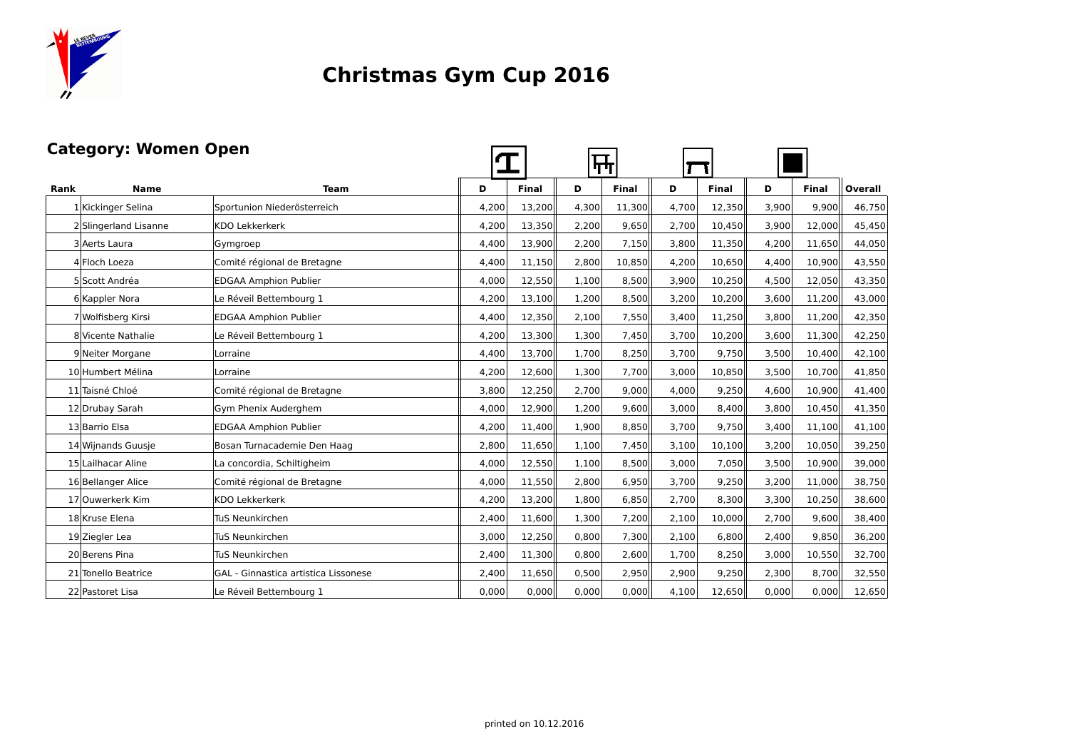

#### **Category: Women Open**

|      | <b>Category: Women Open</b> |                                      |       | ┡┿           |       |              |       |        |       |              |                |
|------|-----------------------------|--------------------------------------|-------|--------------|-------|--------------|-------|--------|-------|--------------|----------------|
| Rank | <b>Name</b>                 | <b>Team</b>                          | D     | <b>Final</b> | D     | <b>Final</b> | D     | Final  | D     | <b>Final</b> | <b>Overall</b> |
|      | 1 Kickinger Selina          | Sportunion Niederösterreich          | 4,200 | 13,200       | 4,300 | 11,300       | 4,700 | 12,350 | 3,900 | 9,900        | 46,750         |
|      | 2 Slingerland Lisanne       | KDO Lekkerkerk                       | 4,200 | 13,350       | 2,200 | 9,650        | 2,700 | 10,450 | 3,900 | 12,000       | 45,450         |
|      | 3 Aerts Laura               | Gymgroep                             | 4,400 | 13,900       | 2,200 | 7,150        | 3,800 | 11,350 | 4.200 | 11,650       | 44,050         |
|      | 4 Floch Loeza               | Comité régional de Bretagne          | 4,400 | 11,150       | 2,800 | 10,850       | 4,200 | 10,650 | 4,400 | 10,900       | 43,550         |
|      | 5 Scott Andréa              | <b>EDGAA Amphion Publier</b>         | 4,000 | 12,550       | 1,100 | 8,500        | 3,900 | 10,250 | 4,500 | 12,050       | 43,350         |
|      | 6 Kappler Nora              | Le Réveil Bettembourg 1              | 4,200 | 13,100       | 1,200 | 8,500        | 3,200 | 10,200 | 3,600 | 11,200       | 43,000         |
|      | 7 Wolfisberg Kirsi          | <b>EDGAA Amphion Publier</b>         | 4,400 | 12,350       | 2,100 | 7,550        | 3,400 | 11,250 | 3,800 | 11,200       | 42,350         |
|      | 8 Vicente Nathalie          | Le Réveil Bettembourg 1              | 4,200 | 13,300       | 1,300 | 7,450        | 3,700 | 10,200 | 3,600 | 11,300       | 42,250         |
|      | 9 Neiter Morgane            | Lorraine                             | 4,400 | 13,700       | 1,700 | 8,250        | 3,700 | 9,750  | 3,500 | 10,400       | 42,100         |
|      | 10 Humbert Mélina           | Lorraine                             | 4,200 | 12,600       | 1,300 | 7,700        | 3,000 | 10,850 | 3,500 | 10,700       | 41,850         |
|      | 11 Taisné Chloé             | Comité régional de Bretagne          | 3,800 | 12,250       | 2,700 | 9.000        | 4,000 | 9,250  | 4.600 | 10,900       | 41,400         |
|      | 12 Drubay Sarah             | Gym Phenix Auderghem                 | 4,000 | 12,900       | 1,200 | 9,600        | 3,000 | 8,400  | 3,800 | 10,450       | 41,350         |
|      | 13 Barrio Elsa              | <b>EDGAA Amphion Publier</b>         | 4,200 | 11,400       | 1,900 | 8,850        | 3,700 | 9,750  | 3,400 | 11,100       | 41,100         |
|      | 14 Wijnands Guusje          | Bosan Turnacademie Den Haag          | 2,800 | 11,650       | 1,100 | 7,450        | 3,100 | 10,100 | 3.200 | 10,050       | 39,250         |
|      | 15 Lailhacar Aline          | La concordia, Schiltigheim           | 4,000 | 12,550       | 1,100 | 8,500        | 3,000 | 7,050  | 3,500 | 10,900       | 39,000         |
|      | 16 Bellanger Alice          | Comité régional de Bretagne          | 4,000 | 11,550       | 2,800 | 6,950        | 3,700 | 9,250  | 3,200 | 11,000       | 38,750         |
|      | 17 Ouwerkerk Kim            | KDO Lekkerkerk                       | 4,200 | 13,200       | 1,800 | 6,850        | 2,700 | 8,300  | 3,300 | 10,250       | 38,600         |
|      | 18 Kruse Elena              | TuS Neunkirchen                      | 2,400 | 11,600       | 1,300 | 7,200        | 2,100 | 10,000 | 2,700 | 9,600        | 38,400         |
|      | 19 Ziegler Lea              | TuS Neunkirchen                      | 3,000 | 12,250       | 0,800 | 7,300        | 2,100 | 6,800  | 2,400 | 9,850        | 36,200         |
|      | 20 Berens Pina              | TuS Neunkirchen                      | 2,400 | 11,300       | 0,800 | 2,600        | 1,700 | 8,250  | 3,000 | 10,550       | 32,700         |
|      | 21 Tonello Beatrice         | GAL - Ginnastica artistica Lissonese | 2,400 | 11,650       | 0,500 | 2,950        | 2,900 | 9,250  | 2,300 | 8,700        | 32,550         |
|      | 22 Pastoret Lisa            | Le Réveil Bettembourg 1              | 0,000 | 0,000        | 0,000 | 0,000        | 4,100 | 12,650 | 0,000 | 0,000        | 12,650         |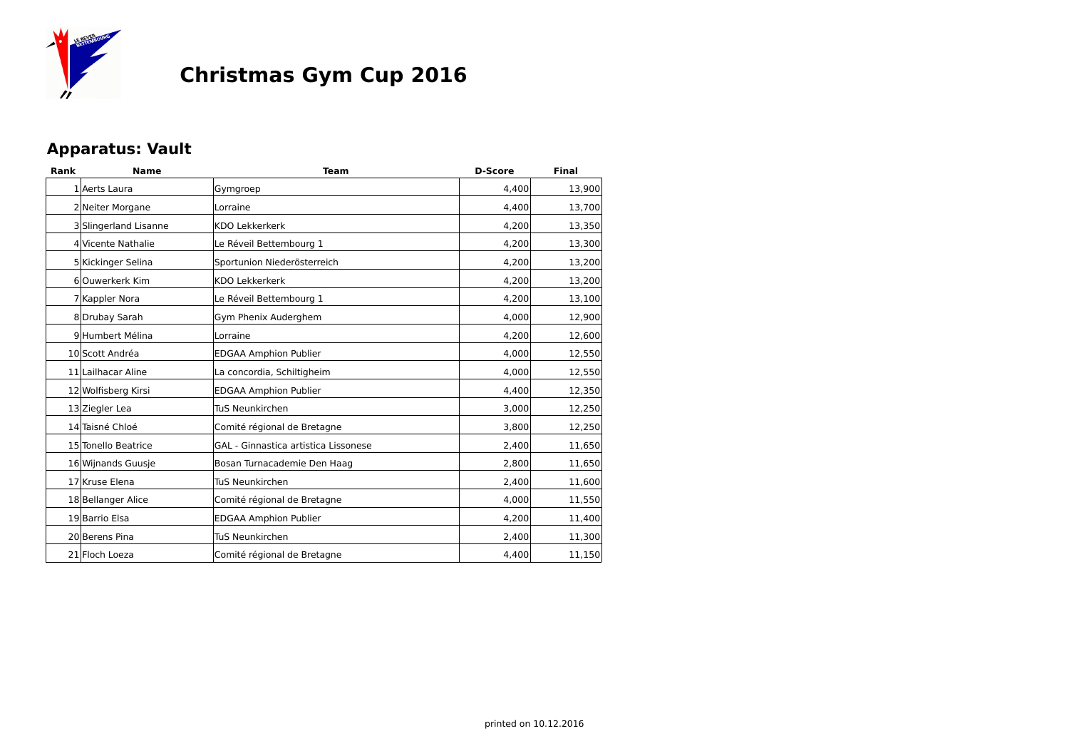

#### **Apparatus: Vault**

| Rank | <b>Name</b>           | <b>Team</b>                          | <b>D-Score</b> | Final  |
|------|-----------------------|--------------------------------------|----------------|--------|
|      | 1 Aerts Laura         | Gymgroep                             | 4.400          | 13,900 |
|      | 2 Neiter Morgane      | Lorraine                             | 4.400          | 13,700 |
|      | 3 Slingerland Lisanne | <b>KDO Lekkerkerk</b>                | 4,200          | 13,350 |
|      | 4 Vicente Nathalie    | Le Réveil Bettembourg 1              | 4,200          | 13,300 |
|      | 5 Kickinger Selina    | Sportunion Niederösterreich          | 4,200          | 13,200 |
|      | 6 Ouwerkerk Kim       | <b>KDO Lekkerkerk</b>                | 4.200          | 13,200 |
|      | 7 Kappler Nora        | Le Réveil Bettembourg 1              | 4,200          | 13,100 |
|      | 8Drubay Sarah         | Gym Phenix Auderghem                 | 4,000          | 12,900 |
|      | 9 Humbert Mélina      | Lorraine                             | 4,200          | 12,600 |
|      | 10 Scott Andréa       | <b>EDGAA Amphion Publier</b>         | 4,000          | 12,550 |
|      | 11 Lailhacar Aline    | La concordia, Schiltigheim           | 4,000          | 12,550 |
|      | 12 Wolfisberg Kirsi   | <b>EDGAA Amphion Publier</b>         | 4,400          | 12,350 |
|      | 13 Ziegler Lea        | TuS Neunkirchen                      | 3,000          | 12,250 |
|      | 14 Taisné Chloé       | Comité régional de Bretagne          | 3,800          | 12,250 |
|      | 15 Tonello Beatrice   | GAL - Ginnastica artistica Lissonese | 2,400          | 11,650 |
|      | 16 Wijnands Guusje    | Bosan Turnacademie Den Haag          | 2.800          | 11,650 |
|      | 17 Kruse Elena        | <b>TuS Neunkirchen</b>               | 2,400          | 11,600 |
|      | 18 Bellanger Alice    | Comité régional de Bretagne          | 4.000          | 11,550 |
|      | 19 Barrio Elsa        | <b>EDGAA Amphion Publier</b>         | 4,200          | 11,400 |
|      | 20 Berens Pina        | <b>TuS Neunkirchen</b>               | 2,400          | 11,300 |
|      | 21 Floch Loeza        | Comité régional de Bretagne          | 4,400          | 11,150 |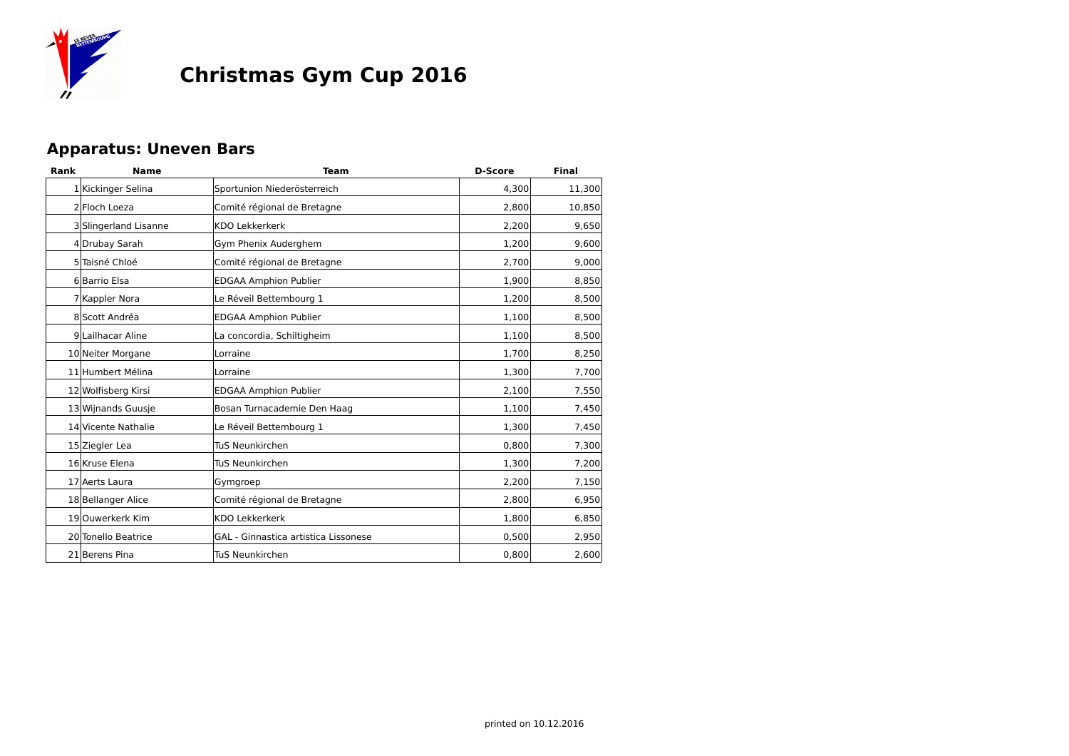

#### **Apparatus: Uneven Bars**

| Rank | <b>Name</b>           | <b>Team</b>                          | <b>D-Score</b> | Final  |
|------|-----------------------|--------------------------------------|----------------|--------|
|      | 1 Kickinger Selina    | Sportunion Niederösterreich          | 4,300          | 11,300 |
|      | 2 Floch Loeza         | Comité régional de Bretagne          | 2,800          | 10,850 |
|      | 3 Slingerland Lisanne | <b>KDO Lekkerkerk</b>                | 2,200          | 9,650  |
|      | 4 Drubay Sarah        | Gym Phenix Auderghem                 | 1,200          | 9,600  |
|      | 5 Taisné Chloé        | Comité régional de Bretagne          | 2,700          | 9,000  |
|      | 6 Barrio Elsa         | <b>EDGAA Amphion Publier</b>         | 1,900          | 8,850  |
|      | 7 Kappler Nora        | Le Réveil Bettembourg 1              | 1,200          | 8,500  |
|      | 8 Scott Andréa        | <b>EDGAA Amphion Publier</b>         | 1,100          | 8,500  |
|      | 9 Lailhacar Aline     | La concordia, Schiltigheim           | 1,100          | 8,500  |
|      | 10 Neiter Morgane     | Lorraine                             | 1,700          | 8,250  |
|      | 11 Humbert Mélina     | Lorraine                             | 1,300          | 7,700  |
|      | 12 Wolfisberg Kirsi   | <b>EDGAA Amphion Publier</b>         | 2,100          | 7,550  |
|      | 13 Wijnands Guusje    | Bosan Turnacademie Den Haag          | 1,100          | 7,450  |
|      | 14 Vicente Nathalie   | Le Réveil Bettembourg 1              | 1,300          | 7,450  |
|      | 15 Ziegler Lea        | <b>TuS Neunkirchen</b>               | 0,800          | 7,300  |
|      | 16 Kruse Elena        | <b>TuS Neunkirchen</b>               | 1,300          | 7,200  |
|      | 17 Aerts Laura        | Gymgroep                             | 2,200          | 7,150  |
|      | 18 Bellanger Alice    | Comité régional de Bretagne          | 2,800          | 6,950  |
|      | 19 Ouwerkerk Kim      | <b>KDO Lekkerkerk</b>                | 1,800          | 6,850  |
|      | 20 Tonello Beatrice   | GAL - Ginnastica artistica Lissonese | 0,500          | 2,950  |
|      | 21 Berens Pina        | TuS Neunkirchen                      | 0,800          | 2,600  |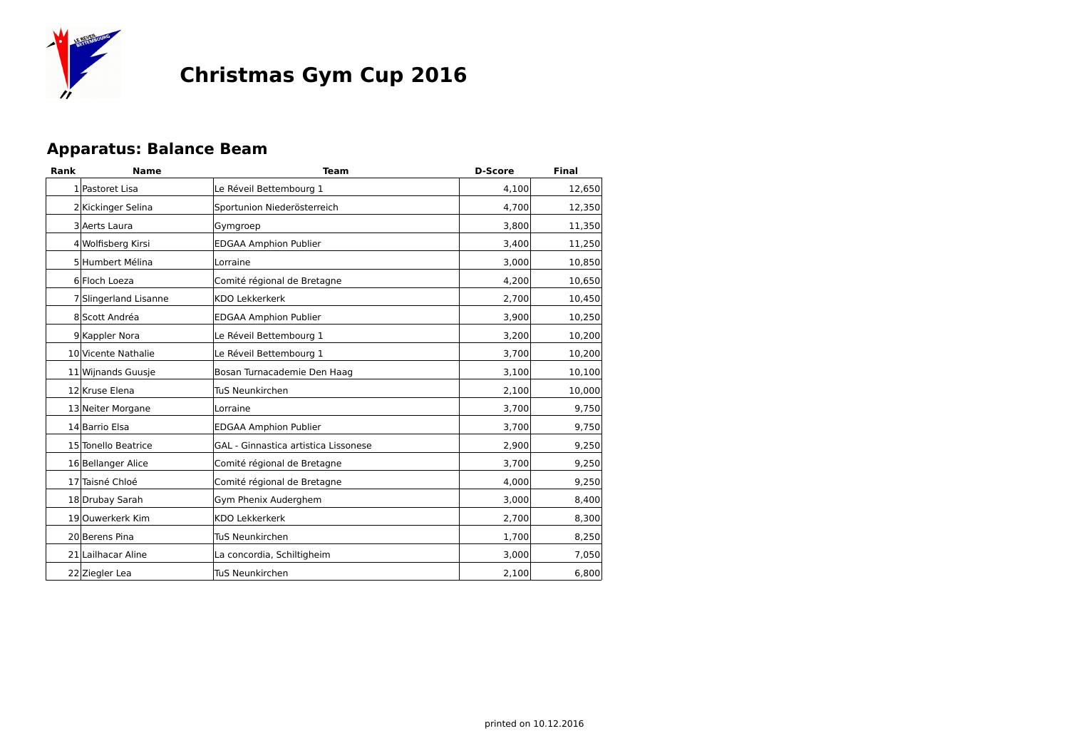

#### **Apparatus: Balance Beam**

| Rank | <b>Name</b>           | <b>Team</b>                          | <b>D-Score</b> | <b>Final</b> |
|------|-----------------------|--------------------------------------|----------------|--------------|
|      | 1 Pastoret Lisa       | Le Réveil Bettembourg 1              | 4,100          | 12,650       |
|      | 2 Kickinger Selina    | Sportunion Niederösterreich          | 4,700          | 12,350       |
|      | 3 Aerts Laura         | Gymgroep                             | 3,800          | 11,350       |
|      | 4 Wolfisberg Kirsi    | <b>EDGAA Amphion Publier</b>         | 3,400          | 11,250       |
|      | 5 Humbert Mélina      | Lorraine                             | 3,000          | 10,850       |
|      | 6 Floch Loeza         | Comité régional de Bretagne          | 4,200          | 10,650       |
|      | 7 Slingerland Lisanne | <b>KDO Lekkerkerk</b>                | 2,700          | 10,450       |
|      | 8 Scott Andréa        | <b>EDGAA Amphion Publier</b>         | 3,900          | 10,250       |
|      | 9 Kappler Nora        | Le Réveil Bettembourg 1              | 3,200          | 10,200       |
|      | 10 Vicente Nathalie   | Le Réveil Bettembourg 1              | 3,700          | 10,200       |
|      | 11 Wijnands Guusje    | Bosan Turnacademie Den Haag          | 3,100          | 10,100       |
|      | 12 Kruse Elena        | <b>TuS Neunkirchen</b>               | 2,100          | 10,000       |
|      | 13 Neiter Morgane     | Lorraine                             | 3,700          | 9,750        |
|      | 14 Barrio Elsa        | <b>EDGAA Amphion Publier</b>         | 3,700          | 9,750        |
|      | 15 Tonello Beatrice   | GAL - Ginnastica artistica Lissonese | 2,900          | 9,250        |
|      | 16 Bellanger Alice    | Comité régional de Bretagne          | 3,700          | 9,250        |
|      | 17 Taisné Chloé       | Comité régional de Bretagne          | 4,000          | 9,250        |
|      | 18 Drubay Sarah       | Gym Phenix Auderghem                 | 3,000          | 8,400        |
|      | 19 Ouwerkerk Kim      | <b>KDO Lekkerkerk</b>                | 2,700          | 8,300        |
|      | 20 Berens Pina        | <b>TuS Neunkirchen</b>               | 1,700          | 8,250        |
|      | 21 Lailhacar Aline    | La concordia, Schiltigheim           | 3,000          | 7,050        |
|      | 22 Ziegler Lea        | <b>TuS Neunkirchen</b>               | 2,100          | 6,800        |